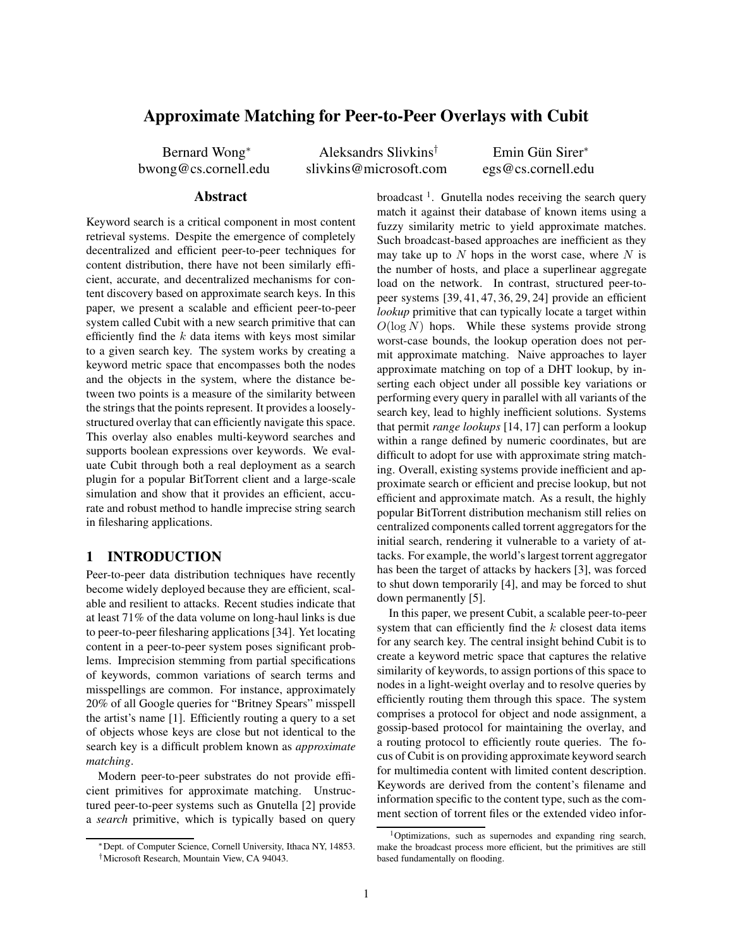# **Approximate Matching for Peer-to-Peer Overlays with Cubit**

Bernard Wong<sup>∗</sup> bwong@cs.cornell.edu

Aleksandrs Slivkins† slivkins@microsoft.com

Emin Gün Sirer<sup>\*</sup> egs@cs.cornell.edu

### **Abstract**

Keyword search is a critical component in most content retrieval systems. Despite the emergence of completely decentralized and efficient peer-to-peer techniques for content distribution, there have not been similarly efficient, accurate, and decentralized mechanisms for content discovery based on approximate search keys. In this paper, we present a scalable and efficient peer-to-peer system called Cubit with a new search primitive that can efficiently find the  $k$  data items with keys most similar to a given search key. The system works by creating a keyword metric space that encompasses both the nodes and the objects in the system, where the distance between two points is a measure of the similarity between the strings that the points represent. It provides a looselystructured overlay that can efficiently navigate this space. This overlay also enables multi-keyword searches and supports boolean expressions over keywords. We evaluate Cubit through both a real deployment as a search plugin for a popular BitTorrent client and a large-scale simulation and show that it provides an efficient, accurate and robust method to handle imprecise string search in filesharing applications.

## **1 INTRODUCTION**

Peer-to-peer data distribution techniques have recently become widely deployed because they are efficient, scalable and resilient to attacks. Recent studies indicate that at least 71% of the data volume on long-haul links is due to peer-to-peer filesharing applications [34]. Yet locating content in a peer-to-peer system poses significant problems. Imprecision stemming from partial specifications of keywords, common variations of search terms and misspellings are common. For instance, approximately 20% of all Google queries for "Britney Spears" misspell the artist's name [1]. Efficiently routing a query to a set of objects whose keys are close but not identical to the search key is a difficult problem known as *approximate matching*.

Modern peer-to-peer substrates do not provide efficient primitives for approximate matching. Unstructured peer-to-peer systems such as Gnutella [2] provide a *search* primitive, which is typically based on query

broadcast<sup>1</sup>. Gnutella nodes receiving the search query match it against their database of known items using a fuzzy similarity metric to yield approximate matches. Such broadcast-based approaches are inefficient as they may take up to  $N$  hops in the worst case, where  $N$  is the number of hosts, and place a superlinear aggregate load on the network. In contrast, structured peer-topeer systems [39, 41, 47, 36, 29, 24] provide an efficient *lookup* primitive that can typically locate a target within  $O(\log N)$  hops. While these systems provide strong worst-case bounds, the lookup operation does not permit approximate matching. Naive approaches to layer approximate matching on top of a DHT lookup, by inserting each object under all possible key variations or performing every query in parallel with all variants of the search key, lead to highly inefficient solutions. Systems that permit *range lookups* [14, 17] can perform a lookup within a range defined by numeric coordinates, but are difficult to adopt for use with approximate string matching. Overall, existing systems provide inefficient and approximate search or efficient and precise lookup, but not efficient and approximate match. As a result, the highly popular BitTorrent distribution mechanism still relies on centralized components called torrent aggregators for the initial search, rendering it vulnerable to a variety of attacks. For example, the world's largest torrent aggregator has been the target of attacks by hackers [3], was forced to shut down temporarily [4], and may be forced to shut down permanently [5].

In this paper, we present Cubit, a scalable peer-to-peer system that can efficiently find the  $k$  closest data items for any search key. The central insight behind Cubit is to create a keyword metric space that captures the relative similarity of keywords, to assign portions of this space to nodes in a light-weight overlay and to resolve queries by efficiently routing them through this space. The system comprises a protocol for object and node assignment, a gossip-based protocol for maintaining the overlay, and a routing protocol to efficiently route queries. The focus of Cubit is on providing approximate keyword search for multimedia content with limited content description. Keywords are derived from the content's filename and information specific to the content type, such as the comment section of torrent files or the extended video infor-

<sup>∗</sup>Dept. of Computer Science, Cornell University, Ithaca NY, 14853.

<sup>†</sup>Microsoft Research, Mountain View, CA 94043.

<sup>1</sup>Optimizations, such as supernodes and expanding ring search, make the broadcast process more efficient, but the primitives are still based fundamentally on flooding.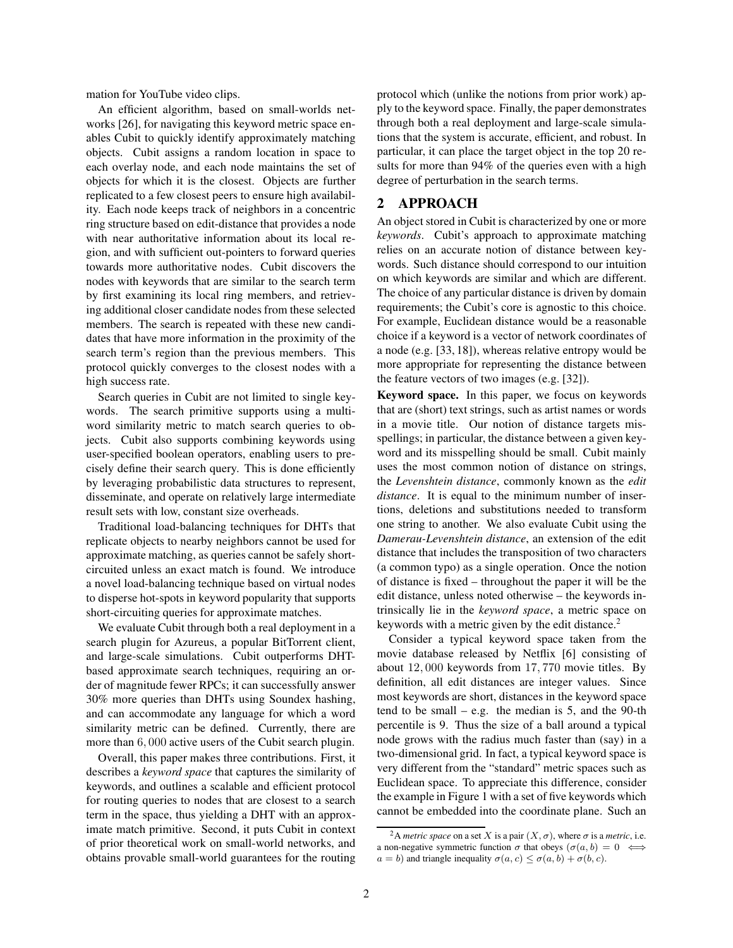mation for YouTube video clips.

An efficient algorithm, based on small-worlds networks [26], for navigating this keyword metric space enables Cubit to quickly identify approximately matching objects. Cubit assigns a random location in space to each overlay node, and each node maintains the set of objects for which it is the closest. Objects are further replicated to a few closest peers to ensure high availability. Each node keeps track of neighbors in a concentric ring structure based on edit-distance that provides a node with near authoritative information about its local region, and with sufficient out-pointers to forward queries towards more authoritative nodes. Cubit discovers the nodes with keywords that are similar to the search term by first examining its local ring members, and retrieving additional closer candidate nodes from these selected members. The search is repeated with these new candidates that have more information in the proximity of the search term's region than the previous members. This protocol quickly converges to the closest nodes with a high success rate.

Search queries in Cubit are not limited to single keywords. The search primitive supports using a multiword similarity metric to match search queries to objects. Cubit also supports combining keywords using user-specified boolean operators, enabling users to precisely define their search query. This is done efficiently by leveraging probabilistic data structures to represent, disseminate, and operate on relatively large intermediate result sets with low, constant size overheads.

Traditional load-balancing techniques for DHTs that replicate objects to nearby neighbors cannot be used for approximate matching, as queries cannot be safely shortcircuited unless an exact match is found. We introduce a novel load-balancing technique based on virtual nodes to disperse hot-spots in keyword popularity that supports short-circuiting queries for approximate matches.

We evaluate Cubit through both a real deployment in a search plugin for Azureus, a popular BitTorrent client, and large-scale simulations. Cubit outperforms DHTbased approximate search techniques, requiring an order of magnitude fewer RPCs; it can successfully answer 30% more queries than DHTs using Soundex hashing, and can accommodate any language for which a word similarity metric can be defined. Currently, there are more than 6, 000 active users of the Cubit search plugin.

Overall, this paper makes three contributions. First, it describes a *keyword space* that captures the similarity of keywords, and outlines a scalable and efficient protocol for routing queries to nodes that are closest to a search term in the space, thus yielding a DHT with an approximate match primitive. Second, it puts Cubit in context of prior theoretical work on small-world networks, and obtains provable small-world guarantees for the routing protocol which (unlike the notions from prior work) apply to the keyword space. Finally, the paper demonstrates through both a real deployment and large-scale simulations that the system is accurate, efficient, and robust. In particular, it can place the target object in the top 20 results for more than 94% of the queries even with a high degree of perturbation in the search terms.

## **2 APPROACH**

An object stored in Cubit is characterized by one or more *keywords*. Cubit's approach to approximate matching relies on an accurate notion of distance between keywords. Such distance should correspond to our intuition on which keywords are similar and which are different. The choice of any particular distance is driven by domain requirements; the Cubit's core is agnostic to this choice. For example, Euclidean distance would be a reasonable choice if a keyword is a vector of network coordinates of a node (e.g. [33, 18]), whereas relative entropy would be more appropriate for representing the distance between the feature vectors of two images (e.g. [32]).

**Keyword space.** In this paper, we focus on keywords that are (short) text strings, such as artist names or words in a movie title. Our notion of distance targets misspellings; in particular, the distance between a given keyword and its misspelling should be small. Cubit mainly uses the most common notion of distance on strings, the *Levenshtein distance*, commonly known as the *edit distance*. It is equal to the minimum number of insertions, deletions and substitutions needed to transform one string to another. We also evaluate Cubit using the *Damerau-Levenshtein distance*, an extension of the edit distance that includes the transposition of two characters (a common typo) as a single operation. Once the notion of distance is fixed – throughout the paper it will be the edit distance, unless noted otherwise – the keywords intrinsically lie in the *keyword space*, a metric space on keywords with a metric given by the edit distance.<sup>2</sup>

Consider a typical keyword space taken from the movie database released by Netflix [6] consisting of about 12, 000 keywords from 17, 770 movie titles. By definition, all edit distances are integer values. Since most keywords are short, distances in the keyword space tend to be small – e.g. the median is  $5$ , and the 90-th percentile is 9. Thus the size of a ball around a typical node grows with the radius much faster than (say) in a two-dimensional grid. In fact, a typical keyword space is very different from the "standard" metric spaces such as Euclidean space. To appreciate this difference, consider the example in Figure 1 with a set of five keywords which cannot be embedded into the coordinate plane. Such an

<sup>&</sup>lt;sup>2</sup>A *metric space* on a set X is a pair  $(X, \sigma)$ , where  $\sigma$  is a *metric*, i.e. a non-negative symmetric function  $\sigma$  that obeys  $(\sigma(a, b) = 0 \iff$  $a = b$ ) and triangle inequality  $\sigma(a, c) \leq \sigma(a, b) + \sigma(b, c)$ .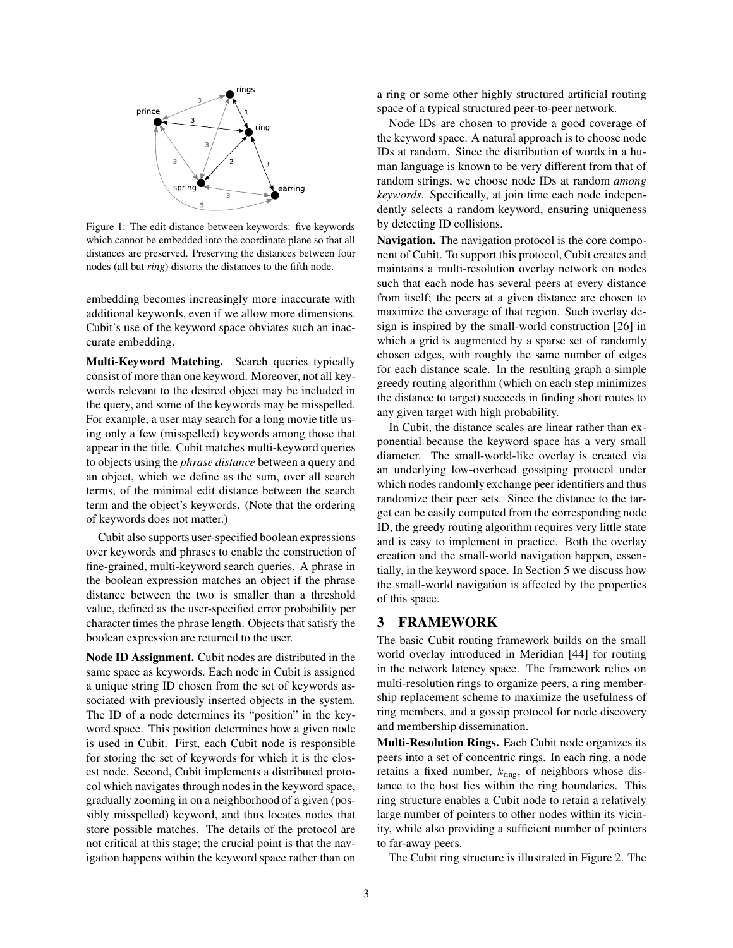

Figure 1: The edit distance between keywords: five keywords which cannot be embedded into the coordinate plane so that all distances are preserved. Preserving the distances between four nodes (all but *ring*) distorts the distances to the fifth node.

embedding becomes increasingly more inaccurate with additional keywords, even if we allow more dimensions. Cubit's use of the keyword space obviates such an inaccurate embedding.

**Multi-Keyword Matching.** Search queries typically consist of more than one keyword. Moreover, not all keywords relevant to the desired object may be included in the query, and some of the keywords may be misspelled. For example, a user may search for a long movie title using only a few (misspelled) keywords among those that appear in the title. Cubit matches multi-keyword queries to objects using the *phrase distance* between a query and an object, which we define as the sum, over all search terms, of the minimal edit distance between the search term and the object's keywords. (Note that the ordering of keywords does not matter.)

Cubit also supports user-specified boolean expressions over keywords and phrases to enable the construction of fine-grained, multi-keyword search queries. A phrase in the boolean expression matches an object if the phrase distance between the two is smaller than a threshold value, defined as the user-specified error probability per character times the phrase length. Objects that satisfy the boolean expression are returned to the user.

**Node ID Assignment.** Cubit nodes are distributed in the same space as keywords. Each node in Cubit is assigned a unique string ID chosen from the set of keywords associated with previously inserted objects in the system. The ID of a node determines its "position" in the keyword space. This position determines how a given node is used in Cubit. First, each Cubit node is responsible for storing the set of keywords for which it is the closest node. Second, Cubit implements a distributed protocol which navigates through nodes in the keyword space, gradually zooming in on a neighborhood of a given (possibly misspelled) keyword, and thus locates nodes that store possible matches. The details of the protocol are not critical at this stage; the crucial point is that the navigation happens within the keyword space rather than on a ring or some other highly structured artificial routing space of a typical structured peer-to-peer network.

Node IDs are chosen to provide a good coverage of the keyword space. A natural approach is to choose node IDs at random. Since the distribution of words in a human language is known to be very different from that of random strings, we choose node IDs at random *among keywords*. Specifically, at join time each node independently selects a random keyword, ensuring uniqueness by detecting ID collisions.

**Navigation.** The navigation protocol is the core component of Cubit. To support this protocol, Cubit creates and maintains a multi-resolution overlay network on nodes such that each node has several peers at every distance from itself; the peers at a given distance are chosen to maximize the coverage of that region. Such overlay design is inspired by the small-world construction [26] in which a grid is augmented by a sparse set of randomly chosen edges, with roughly the same number of edges for each distance scale. In the resulting graph a simple greedy routing algorithm (which on each step minimizes the distance to target) succeeds in finding short routes to any given target with high probability.

In Cubit, the distance scales are linear rather than exponential because the keyword space has a very small diameter. The small-world-like overlay is created via an underlying low-overhead gossiping protocol under which nodes randomly exchange peer identifiers and thus randomize their peer sets. Since the distance to the target can be easily computed from the corresponding node ID, the greedy routing algorithm requires very little state and is easy to implement in practice. Both the overlay creation and the small-world navigation happen, essentially, in the keyword space. In Section 5 we discuss how the small-world navigation is affected by the properties of this space.

#### **3 FRAMEWORK**

The basic Cubit routing framework builds on the small world overlay introduced in Meridian [44] for routing in the network latency space. The framework relies on multi-resolution rings to organize peers, a ring membership replacement scheme to maximize the usefulness of ring members, and a gossip protocol for node discovery and membership dissemination.

**Multi-Resolution Rings.** Each Cubit node organizes its peers into a set of concentric rings. In each ring, a node retains a fixed number,  $k_{\text{ring}}$ , of neighbors whose distance to the host lies within the ring boundaries. This ring structure enables a Cubit node to retain a relatively large number of pointers to other nodes within its vicinity, while also providing a sufficient number of pointers to far-away peers.

The Cubit ring structure is illustrated in Figure 2. The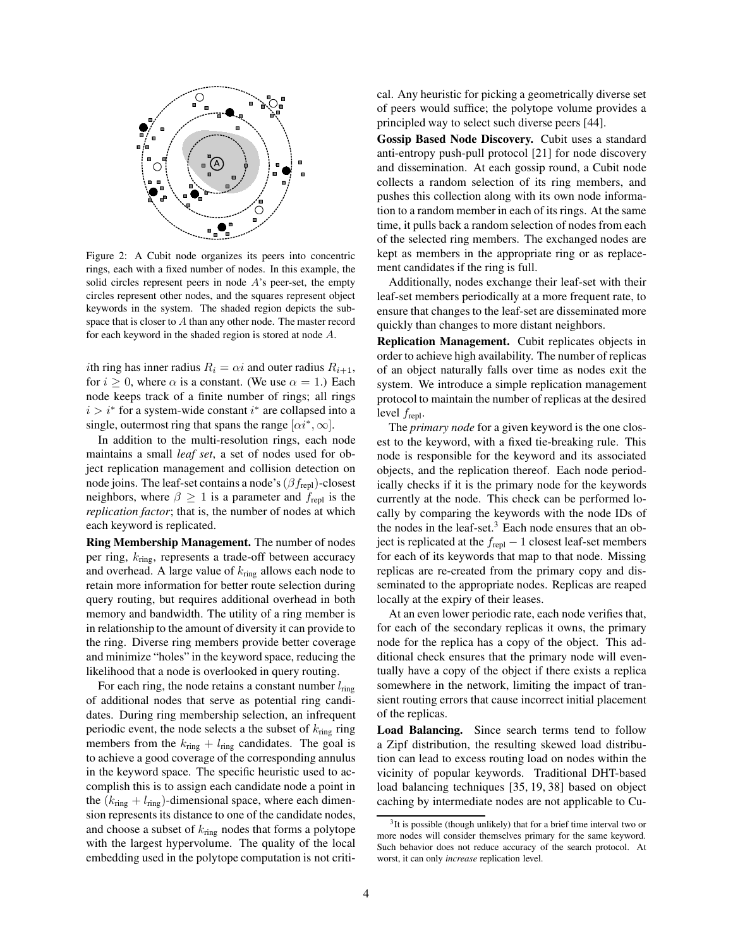

Figure 2: A Cubit node organizes its peers into concentric rings, each with a fixed number of nodes. In this example, the solid circles represent peers in node  $A$ 's peer-set, the empty circles represent other nodes, and the squares represent object keywords in the system. The shaded region depicts the subspace that is closer to A than any other node. The master record for each keyword in the shaded region is stored at node A.

*i*th ring has inner radius  $R_i = \alpha i$  and outer radius  $R_{i+1}$ , for  $i \geq 0$ , where  $\alpha$  is a constant. (We use  $\alpha = 1$ .) Each node keeps track of a finite number of rings; all rings  $i > i^*$  for a system-wide constant  $i^*$  are collapsed into a single, outermost ring that spans the range  $[\alpha i^*, \infty]$ .

In addition to the multi-resolution rings, each node maintains a small *leaf set*, a set of nodes used for object replication management and collision detection on node joins. The leaf-set contains a node's  $(\beta f_{\text{repl}})$ -closest neighbors, where  $\beta \geq 1$  is a parameter and  $f_{\text{repl}}$  is the *replication factor*; that is, the number of nodes at which each keyword is replicated.

**Ring Membership Management.** The number of nodes per ring,  $k_{\text{ring}}$ , represents a trade-off between accuracy and overhead. A large value of  $k_{\text{ring}}$  allows each node to retain more information for better route selection during query routing, but requires additional overhead in both memory and bandwidth. The utility of a ring member is in relationship to the amount of diversity it can provide to the ring. Diverse ring members provide better coverage and minimize "holes" in the keyword space, reducing the likelihood that a node is overlooked in query routing.

For each ring, the node retains a constant number  $l_{\text{ring}}$ of additional nodes that serve as potential ring candidates. During ring membership selection, an infrequent periodic event, the node selects a the subset of  $k_{\text{ring}}$  ring members from the  $k_{\text{ring}} + l_{\text{ring}}$  candidates. The goal is to achieve a good coverage of the corresponding annulus in the keyword space. The specific heuristic used to accomplish this is to assign each candidate node a point in the  $(k_{\text{ring}} + l_{\text{ring}})$ -dimensional space, where each dimension represents its distance to one of the candidate nodes, and choose a subset of  $k_{\text{ring}}$  nodes that forms a polytope with the largest hypervolume. The quality of the local embedding used in the polytope computation is not critical. Any heuristic for picking a geometrically diverse set of peers would suffice; the polytope volume provides a principled way to select such diverse peers [44].

**Gossip Based Node Discovery.** Cubit uses a standard anti-entropy push-pull protocol [21] for node discovery and dissemination. At each gossip round, a Cubit node collects a random selection of its ring members, and pushes this collection along with its own node information to a random member in each of its rings. At the same time, it pulls back a random selection of nodes from each of the selected ring members. The exchanged nodes are kept as members in the appropriate ring or as replacement candidates if the ring is full.

Additionally, nodes exchange their leaf-set with their leaf-set members periodically at a more frequent rate, to ensure that changes to the leaf-set are disseminated more quickly than changes to more distant neighbors.

**Replication Management.** Cubit replicates objects in order to achieve high availability. The number of replicas of an object naturally falls over time as nodes exit the system. We introduce a simple replication management protocol to maintain the number of replicas at the desired level frepl.

The *primary node* for a given keyword is the one closest to the keyword, with a fixed tie-breaking rule. This node is responsible for the keyword and its associated objects, and the replication thereof. Each node periodically checks if it is the primary node for the keywords currently at the node. This check can be performed locally by comparing the keywords with the node IDs of the nodes in the leaf-set. $3$  Each node ensures that an object is replicated at the  $f_{\text{repl}} - 1$  closest leaf-set members for each of its keywords that map to that node. Missing replicas are re-created from the primary copy and disseminated to the appropriate nodes. Replicas are reaped locally at the expiry of their leases.

At an even lower periodic rate, each node verifies that, for each of the secondary replicas it owns, the primary node for the replica has a copy of the object. This additional check ensures that the primary node will eventually have a copy of the object if there exists a replica somewhere in the network, limiting the impact of transient routing errors that cause incorrect initial placement of the replicas.

**Load Balancing.** Since search terms tend to follow a Zipf distribution, the resulting skewed load distribution can lead to excess routing load on nodes within the vicinity of popular keywords. Traditional DHT-based load balancing techniques [35, 19, 38] based on object caching by intermediate nodes are not applicable to Cu-

<sup>&</sup>lt;sup>3</sup>It is possible (though unlikely) that for a brief time interval two or more nodes will consider themselves primary for the same keyword. Such behavior does not reduce accuracy of the search protocol. At worst, it can only *increase* replication level.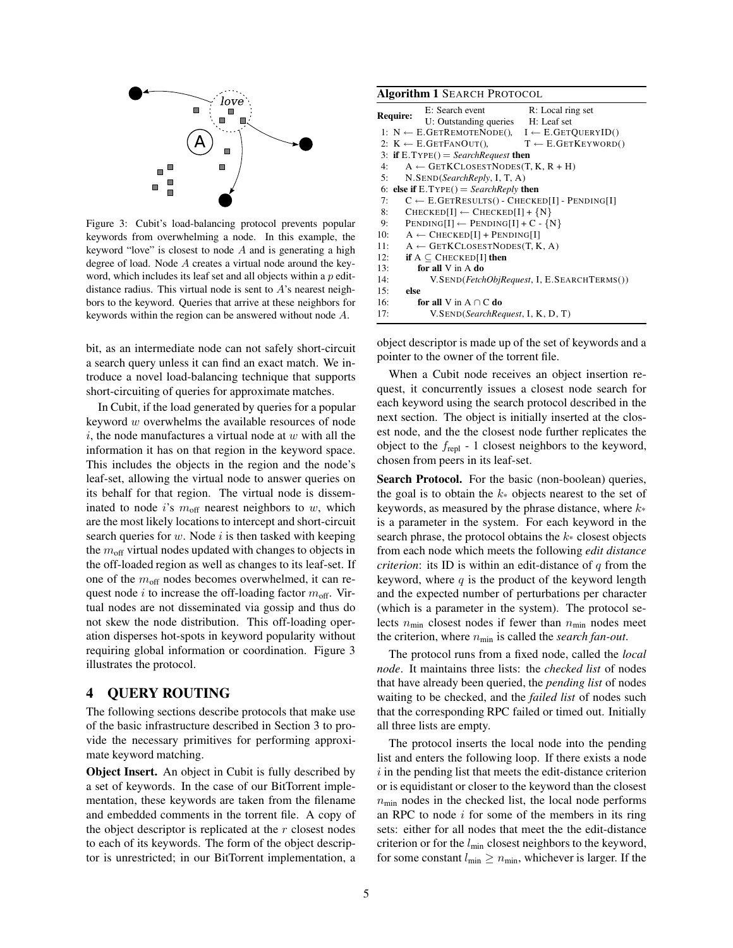

Figure 3: Cubit's load-balancing protocol prevents popular keywords from overwhelming a node. In this example, the keyword "love" is closest to node A and is generating a high degree of load. Node A creates a virtual node around the keyword, which includes its leaf set and all objects within a  $p$  editdistance radius. This virtual node is sent to  $A$ 's nearest neighbors to the keyword. Queries that arrive at these neighbors for keywords within the region can be answered without node A.

bit, as an intermediate node can not safely short-circuit a search query unless it can find an exact match. We introduce a novel load-balancing technique that supports short-circuiting of queries for approximate matches.

In Cubit, if the load generated by queries for a popular keyword  $w$  overwhelms the available resources of node  $i$ , the node manufactures a virtual node at  $w$  with all the information it has on that region in the keyword space. This includes the objects in the region and the node's leaf-set, allowing the virtual node to answer queries on its behalf for that region. The virtual node is disseminated to node i's  $m_{off}$  nearest neighbors to w, which are the most likely locations to intercept and short-circuit search queries for  $w$ . Node  $i$  is then tasked with keeping the  $m_{\text{off}}$  virtual nodes updated with changes to objects in the off-loaded region as well as changes to its leaf-set. If one of the  $m_{\text{off}}$  nodes becomes overwhelmed, it can request node i to increase the off-loading factor  $m_{\text{off}}$ . Virtual nodes are not disseminated via gossip and thus do not skew the node distribution. This off-loading operation disperses hot-spots in keyword popularity without requiring global information or coordination. Figure 3 illustrates the protocol.

## **4 QUERY ROUTING**

The following sections describe protocols that make use of the basic infrastructure described in Section 3 to provide the necessary primitives for performing approximate keyword matching.

**Object Insert.** An object in Cubit is fully described by a set of keywords. In the case of our BitTorrent implementation, these keywords are taken from the filename and embedded comments in the torrent file. A copy of the object descriptor is replicated at the  $r$  closest nodes to each of its keywords. The form of the object descriptor is unrestricted; in our BitTorrent implementation, a

| <b>Algorithm 1 SEARCH PROTOCOL</b>                   |                                                                     |                               |  |
|------------------------------------------------------|---------------------------------------------------------------------|-------------------------------|--|
| <b>Require:</b>                                      | E: Search event                                                     | R: Local ring set             |  |
|                                                      | U: Outstanding queries H: Leaf set                                  |                               |  |
|                                                      | 1: $N \leftarrow E.GETREMOTENODE()$ , $I \leftarrow E.GETQUERVID()$ |                               |  |
|                                                      | 2: $K \leftarrow E.GETFANOUT()$ ,                                   | $T \leftarrow E.GETKEYWORD()$ |  |
| 3: if $E.TYPE() = SearchRequest$ then                |                                                                     |                               |  |
| 4:                                                   | $A \leftarrow$ GETKCLOSESTNODES(T, K, R + H)                        |                               |  |
| N.SEND(SearchReply, I, T, A)<br>5:                   |                                                                     |                               |  |
| 6: else if $E.TYPE() = SearchReply$ then             |                                                                     |                               |  |
| 7:                                                   | $C \leftarrow E.GETRESULTS() - CHECKED[I] - PENDING[I]$             |                               |  |
| 8:                                                   | $CHECKED[I] \leftarrow CHECKED[I] + \{N\}$                          |                               |  |
| $PENDING[I] \leftarrow PENDING[I] + C - \{N\}$<br>9: |                                                                     |                               |  |
| 10:                                                  | $A \leftarrow$ CHECKED[I] + PENDING[I]                              |                               |  |
| 11:                                                  | $A \leftarrow$ GETKCLOSESTNODES(T, K, A)                            |                               |  |
| 12:                                                  | if $A \subseteq$ CHECKED[I] then                                    |                               |  |
| 13:                                                  | for all $V$ in $A$ do                                               |                               |  |
| 14:                                                  | V.SEND( <i>FetchObjRequest</i> , I, E.SEARCHTERMS())                |                               |  |
| else<br>15:                                          |                                                                     |                               |  |
| 16:                                                  | for all V in $A \cap C$ do                                          |                               |  |
| 17:                                                  | V.SEND(SearchRequest, I, K, D, T)                                   |                               |  |

object descriptor is made up of the set of keywords and a pointer to the owner of the torrent file.

When a Cubit node receives an object insertion request, it concurrently issues a closest node search for each keyword using the search protocol described in the next section. The object is initially inserted at the closest node, and the the closest node further replicates the object to the  $f_{\text{repl}}$  - 1 closest neighbors to the keyword, chosen from peers in its leaf-set.

Search Protocol. For the basic (non-boolean) queries, the goal is to obtain the  $k$ <sup>\*</sup> objects nearest to the set of keywords, as measured by the phrase distance, where  $k*$ is a parameter in the system. For each keyword in the search phrase, the protocol obtains the  $k$  closest objects from each node which meets the following *edit distance criterion*: its ID is within an edit-distance of  $q$  from the keyword, where  $q$  is the product of the keyword length and the expected number of perturbations per character (which is a parameter in the system). The protocol selects  $n_{\text{min}}$  closest nodes if fewer than  $n_{\text{min}}$  nodes meet the criterion, where nmin is called the *search fan-out*.

The protocol runs from a fixed node, called the *local node*. It maintains three lists: the *checked list* of nodes that have already been queried, the *pending list* of nodes waiting to be checked, and the *failed list* of nodes such that the corresponding RPC failed or timed out. Initially all three lists are empty.

The protocol inserts the local node into the pending list and enters the following loop. If there exists a node  $i$  in the pending list that meets the edit-distance criterion or is equidistant or closer to the keyword than the closest  $n_{\text{min}}$  nodes in the checked list, the local node performs an RPC to node  $i$  for some of the members in its ring sets: either for all nodes that meet the the edit-distance criterion or for the  $l_{\text{min}}$  closest neighbors to the keyword, for some constant  $l_{\min} \geq n_{\min}$ , whichever is larger. If the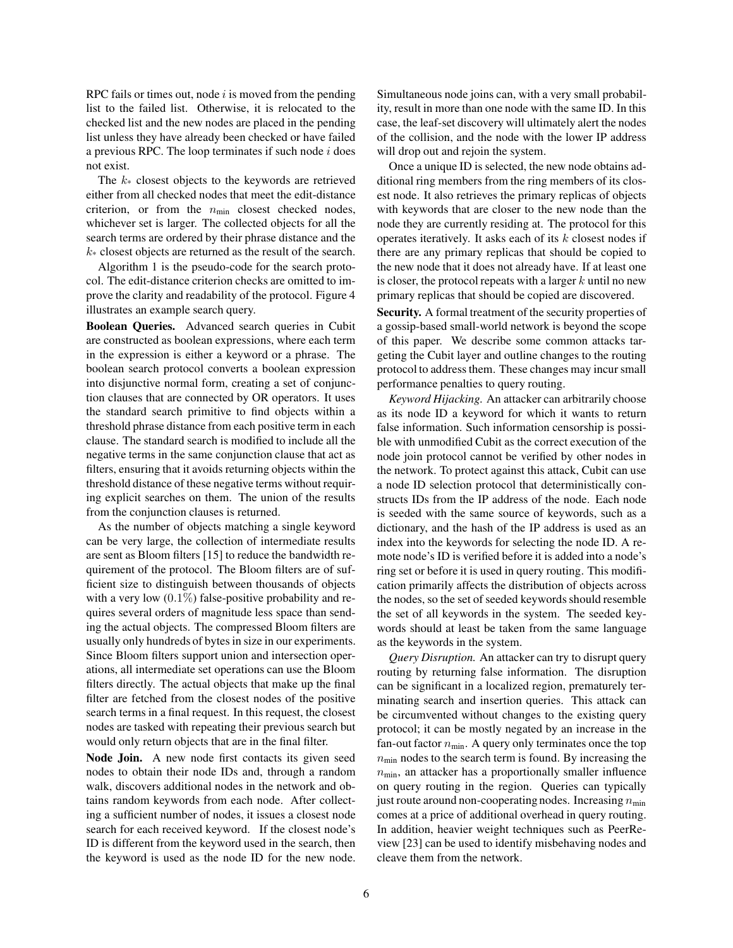RPC fails or times out, node  $i$  is moved from the pending list to the failed list. Otherwise, it is relocated to the checked list and the new nodes are placed in the pending list unless they have already been checked or have failed a previous RPC. The loop terminates if such node  $i$  does not exist.

The  $k$ <sup>\*</sup> closest objects to the keywords are retrieved either from all checked nodes that meet the edit-distance criterion, or from the  $n_{min}$  closest checked nodes, whichever set is larger. The collected objects for all the search terms are ordered by their phrase distance and the  $k_{\ast}$  closest objects are returned as the result of the search.

Algorithm 1 is the pseudo-code for the search protocol. The edit-distance criterion checks are omitted to improve the clarity and readability of the protocol. Figure 4 illustrates an example search query.

**Boolean Queries.** Advanced search queries in Cubit are constructed as boolean expressions, where each term in the expression is either a keyword or a phrase. The boolean search protocol converts a boolean expression into disjunctive normal form, creating a set of conjunction clauses that are connected by OR operators. It uses the standard search primitive to find objects within a threshold phrase distance from each positive term in each clause. The standard search is modified to include all the negative terms in the same conjunction clause that act as filters, ensuring that it avoids returning objects within the threshold distance of these negative terms without requiring explicit searches on them. The union of the results from the conjunction clauses is returned.

As the number of objects matching a single keyword can be very large, the collection of intermediate results are sent as Bloom filters [15] to reduce the bandwidth requirement of the protocol. The Bloom filters are of sufficient size to distinguish between thousands of objects with a very low  $(0.1\%)$  false-positive probability and requires several orders of magnitude less space than sending the actual objects. The compressed Bloom filters are usually only hundreds of bytes in size in our experiments. Since Bloom filters support union and intersection operations, all intermediate set operations can use the Bloom filters directly. The actual objects that make up the final filter are fetched from the closest nodes of the positive search terms in a final request. In this request, the closest nodes are tasked with repeating their previous search but would only return objects that are in the final filter.

**Node Join.** A new node first contacts its given seed nodes to obtain their node IDs and, through a random walk, discovers additional nodes in the network and obtains random keywords from each node. After collecting a sufficient number of nodes, it issues a closest node search for each received keyword. If the closest node's ID is different from the keyword used in the search, then the keyword is used as the node ID for the new node. Simultaneous node joins can, with a very small probability, result in more than one node with the same ID. In this case, the leaf-set discovery will ultimately alert the nodes of the collision, and the node with the lower IP address will drop out and rejoin the system.

Once a unique ID is selected, the new node obtains additional ring members from the ring members of its closest node. It also retrieves the primary replicas of objects with keywords that are closer to the new node than the node they are currently residing at. The protocol for this operates iteratively. It asks each of its  $k$  closest nodes if there are any primary replicas that should be copied to the new node that it does not already have. If at least one is closer, the protocol repeats with a larger  $k$  until no new primary replicas that should be copied are discovered.

**Security.** A formal treatment of the security properties of a gossip-based small-world network is beyond the scope of this paper. We describe some common attacks targeting the Cubit layer and outline changes to the routing protocol to address them. These changes may incur small performance penalties to query routing.

*Keyword Hijacking.* An attacker can arbitrarily choose as its node ID a keyword for which it wants to return false information. Such information censorship is possible with unmodified Cubit as the correct execution of the node join protocol cannot be verified by other nodes in the network. To protect against this attack, Cubit can use a node ID selection protocol that deterministically constructs IDs from the IP address of the node. Each node is seeded with the same source of keywords, such as a dictionary, and the hash of the IP address is used as an index into the keywords for selecting the node ID. A remote node's ID is verified before it is added into a node's ring set or before it is used in query routing. This modification primarily affects the distribution of objects across the nodes, so the set of seeded keywords should resemble the set of all keywords in the system. The seeded keywords should at least be taken from the same language as the keywords in the system.

*Query Disruption.* An attacker can try to disrupt query routing by returning false information. The disruption can be significant in a localized region, prematurely terminating search and insertion queries. This attack can be circumvented without changes to the existing query protocol; it can be mostly negated by an increase in the fan-out factor  $n_{min}$ . A query only terminates once the top  $n_{\text{min}}$  nodes to the search term is found. By increasing the  $n_{\text{min}}$ , an attacker has a proportionally smaller influence on query routing in the region. Queries can typically just route around non-cooperating nodes. Increasing  $n_{\min}$ comes at a price of additional overhead in query routing. In addition, heavier weight techniques such as PeerReview [23] can be used to identify misbehaving nodes and cleave them from the network.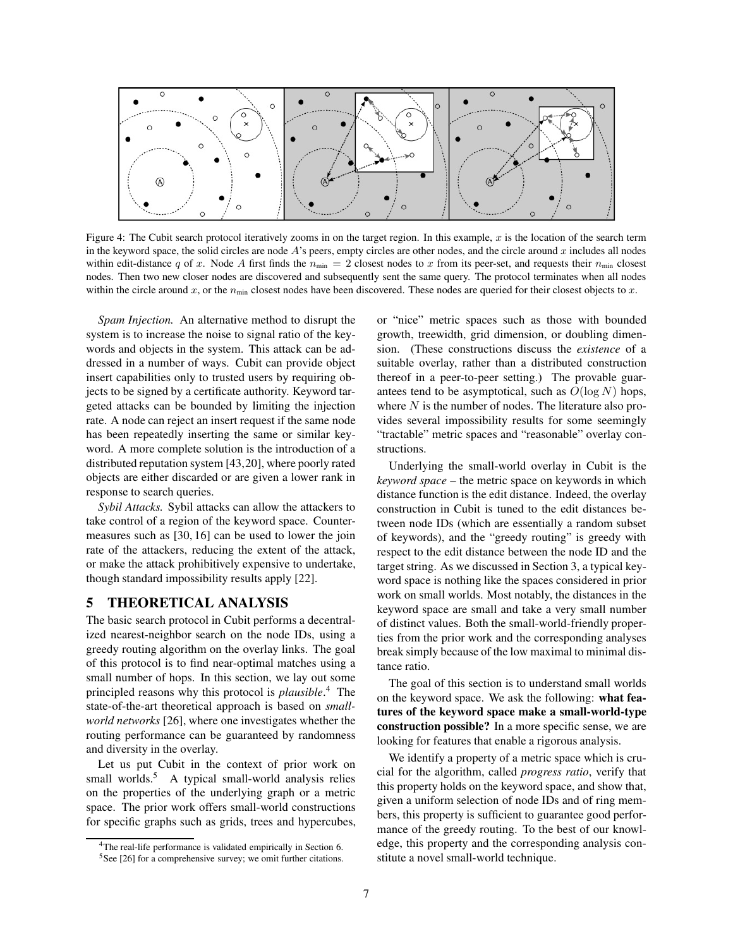

Figure 4: The Cubit search protocol iteratively zooms in on the target region. In this example,  $x$  is the location of the search term in the keyword space, the solid circles are node  $A$ 's peers, empty circles are other nodes, and the circle around  $x$  includes all nodes within edit-distance q of x. Node A first finds the  $n_{\text{min}} = 2$  closest nodes to x from its peer-set, and requests their  $n_{\text{min}}$  closest nodes. Then two new closer nodes are discovered and subsequently sent the same query. The protocol terminates when all nodes within the circle around x, or the  $n_{\text{min}}$  closest nodes have been discovered. These nodes are queried for their closest objects to x.

*Spam Injection.* An alternative method to disrupt the system is to increase the noise to signal ratio of the keywords and objects in the system. This attack can be addressed in a number of ways. Cubit can provide object insert capabilities only to trusted users by requiring objects to be signed by a certificate authority. Keyword targeted attacks can be bounded by limiting the injection rate. A node can reject an insert request if the same node has been repeatedly inserting the same or similar keyword. A more complete solution is the introduction of a distributed reputation system [43,20], where poorly rated objects are either discarded or are given a lower rank in response to search queries.

*Sybil Attacks.* Sybil attacks can allow the attackers to take control of a region of the keyword space. Countermeasures such as [30, 16] can be used to lower the join rate of the attackers, reducing the extent of the attack, or make the attack prohibitively expensive to undertake, though standard impossibility results apply [22].

## **5 THEORETICAL ANALYSIS**

The basic search protocol in Cubit performs a decentralized nearest-neighbor search on the node IDs, using a greedy routing algorithm on the overlay links. The goal of this protocol is to find near-optimal matches using a small number of hops. In this section, we lay out some principled reasons why this protocol is *plausible*. <sup>4</sup> The state-of-the-art theoretical approach is based on *smallworld networks* [26], where one investigates whether the routing performance can be guaranteed by randomness and diversity in the overlay.

Let us put Cubit in the context of prior work on small worlds.<sup>5</sup> A typical small-world analysis relies on the properties of the underlying graph or a metric space. The prior work offers small-world constructions for specific graphs such as grids, trees and hypercubes, or "nice" metric spaces such as those with bounded growth, treewidth, grid dimension, or doubling dimension. (These constructions discuss the *existence* of a suitable overlay, rather than a distributed construction thereof in a peer-to-peer setting.) The provable guarantees tend to be asymptotical, such as  $O(\log N)$  hops, where  $N$  is the number of nodes. The literature also provides several impossibility results for some seemingly "tractable" metric spaces and "reasonable" overlay constructions.

Underlying the small-world overlay in Cubit is the *keyword space* – the metric space on keywords in which distance function is the edit distance. Indeed, the overlay construction in Cubit is tuned to the edit distances between node IDs (which are essentially a random subset of keywords), and the "greedy routing" is greedy with respect to the edit distance between the node ID and the target string. As we discussed in Section 3, a typical keyword space is nothing like the spaces considered in prior work on small worlds. Most notably, the distances in the keyword space are small and take a very small number of distinct values. Both the small-world-friendly properties from the prior work and the corresponding analyses break simply because of the low maximal to minimal distance ratio.

The goal of this section is to understand small worlds on the keyword space. We ask the following: **what features of the keyword space make a small-world-type construction possible?** In a more specific sense, we are looking for features that enable a rigorous analysis.

We identify a property of a metric space which is crucial for the algorithm, called *progress ratio*, verify that this property holds on the keyword space, and show that, given a uniform selection of node IDs and of ring members, this property is sufficient to guarantee good performance of the greedy routing. To the best of our knowledge, this property and the corresponding analysis constitute a novel small-world technique.

<sup>&</sup>lt;sup>4</sup>The real-life performance is validated empirically in Section 6.

<sup>5</sup>See [26] for a comprehensive survey; we omit further citations.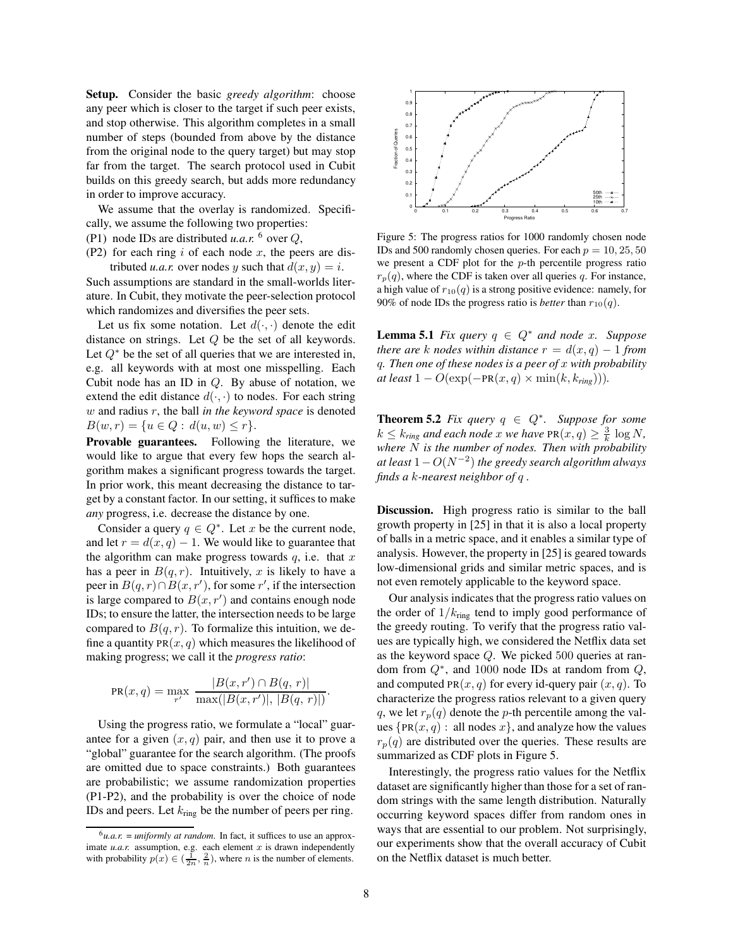**Setup.** Consider the basic *greedy algorithm*: choose any peer which is closer to the target if such peer exists, and stop otherwise. This algorithm completes in a small number of steps (bounded from above by the distance from the original node to the query target) but may stop far from the target. The search protocol used in Cubit builds on this greedy search, but adds more redundancy in order to improve accuracy.

We assume that the overlay is randomized. Specifically, we assume the following two properties:

- (P1) node IDs are distributed *u.a.r.*  $^6$  over  $Q$ ,
- (P2) for each ring i of each node x, the peers are distributed *u.a.r.* over nodes y such that  $d(x, y) = i$ .

Such assumptions are standard in the small-worlds literature. In Cubit, they motivate the peer-selection protocol which randomizes and diversifies the peer sets.

Let us fix some notation. Let  $d(\cdot, \cdot)$  denote the edit distance on strings. Let Q be the set of all keywords. Let  $Q^*$  be the set of all queries that we are interested in, e.g. all keywords with at most one misspelling. Each Cubit node has an ID in Q. By abuse of notation, we extend the edit distance  $d(\cdot, \cdot)$  to nodes. For each string w and radius r, the ball *in the keyword space* is denoted  $B(w, r) = \{u \in Q : d(u, w) \leq r\}.$ 

**Provable guarantees.** Following the literature, we would like to argue that every few hops the search algorithm makes a significant progress towards the target. In prior work, this meant decreasing the distance to target by a constant factor. In our setting, it suffices to make *any* progress, i.e. decrease the distance by one.

Consider a query  $q \in Q^*$ . Let x be the current node, and let  $r = d(x, q) - 1$ . We would like to guarantee that the algorithm can make progress towards  $q$ , i.e. that  $x$ has a peer in  $B(q, r)$ . Intuitively, x is likely to have a peer in  $B(q, r) \cap B(x, r')$ , for some r', if the intersection is large compared to  $B(x, r')$  and contains enough node IDs; to ensure the latter, the intersection needs to be large compared to  $B(q, r)$ . To formalize this intuition, we define a quantity  $PR(x, q)$  which measures the likelihood of making progress; we call it the *progress ratio*:

$$
PR(x, q) = \max_{r'} \frac{|B(x, r') \cap B(q, r)|}{\max(|B(x, r')|, |B(q, r)|)}.
$$

Using the progress ratio, we formulate a "local" guarantee for a given  $(x, q)$  pair, and then use it to prove a "global" guarantee for the search algorithm. (The proofs are omitted due to space constraints.) Both guarantees are probabilistic; we assume randomization properties (P1-P2), and the probability is over the choice of node IDs and peers. Let  $k_{ring}$  be the number of peers per ring.



Figure 5: The progress ratios for 1000 randomly chosen node IDs and 500 randomly chosen queries. For each  $p = 10, 25, 50$ we present a CDF plot for the  $p$ -th percentile progress ratio  $r_p(q)$ , where the CDF is taken over all queries q. For instance, a high value of  $r_{10}(q)$  is a strong positive evidence: namely, for 90% of node IDs the progress ratio is *better* than  $r_{10}(q)$ .

**Lemma 5.1** *Fix query*  $q \in Q^*$  *and node x. Suppose there are* k *nodes within distance*  $r = d(x, q) - 1$  *from* q*. Then one of these nodes is a peer of* x *with probability*  $at least 1 - O(\exp(-PR(x, q) \times min(k, k_{ring}))).$ 

**Theorem 5.2** *Fix query*  $q \text{ ∈ } Q^*$ *. Suppose for some*  $k \leq k_{ring}$  and each node x we have  $PR(x, q) \geq \frac{3}{k} \log N$ , *where* N *is the number of nodes. Then with probability at least* 1−O(N <sup>−</sup><sup>2</sup> ) *the greedy search algorithm always finds a* k*-nearest neighbor of* q *.*

**Discussion.** High progress ratio is similar to the ball growth property in [25] in that it is also a local property of balls in a metric space, and it enables a similar type of analysis. However, the property in [25] is geared towards low-dimensional grids and similar metric spaces, and is not even remotely applicable to the keyword space.

Our analysis indicates that the progress ratio values on the order of  $1/k_{\text{ring}}$  tend to imply good performance of the greedy routing. To verify that the progress ratio values are typically high, we considered the Netflix data set as the keyword space Q. We picked 500 queries at random from  $Q^*$ , and 1000 node IDs at random from  $Q$ , and computed PR $(x, q)$  for every id-query pair  $(x, q)$ . To characterize the progress ratios relevant to a given query q, we let  $r_p(q)$  denote the p-th percentile among the values {PR $(x, q)$  : all nodes x}, and analyze how the values  $r_p(q)$  are distributed over the queries. These results are summarized as CDF plots in Figure 5.

Interestingly, the progress ratio values for the Netflix dataset are significantly higher than those for a set of random strings with the same length distribution. Naturally occurring keyword spaces differ from random ones in ways that are essential to our problem. Not surprisingly, our experiments show that the overall accuracy of Cubit on the Netflix dataset is much better.

 $^6$ *u.a.r.* = *uniformly at random*. In fact, it suffices to use an approximate  $u.a.r.$  assumption, e.g. each element  $x$  is drawn independently with probability  $p(x) \in (\frac{1}{2n}, \frac{2}{n})$  $\frac{2}{n}$ ), where *n* is the number of elements.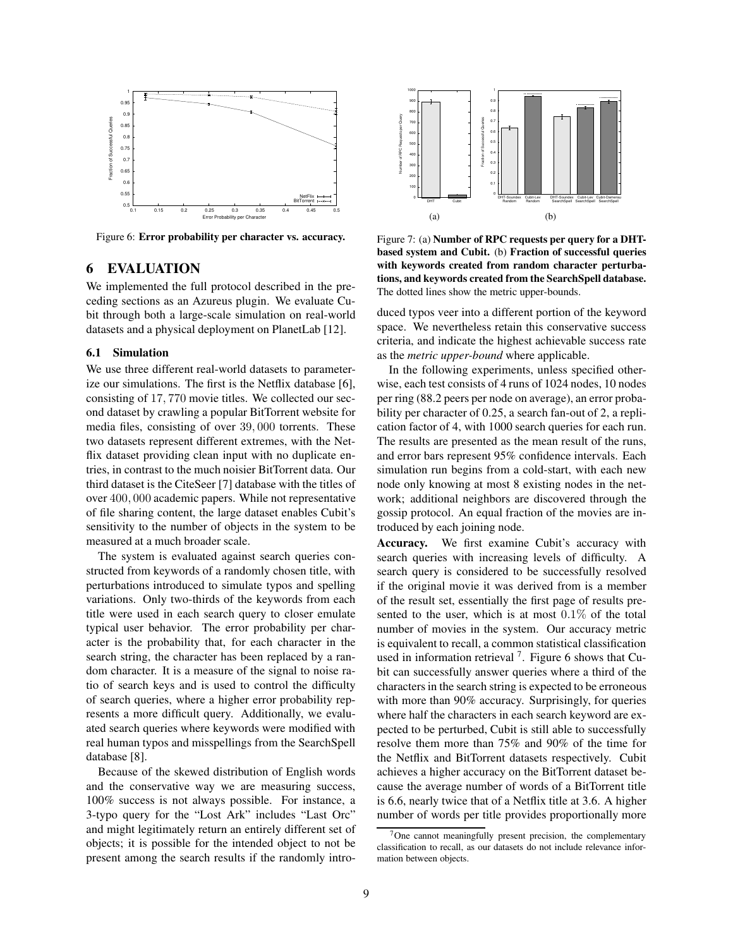

Figure 6: **Error probability per character vs. accuracy.**

## **6 EVALUATION**

We implemented the full protocol described in the preceding sections as an Azureus plugin. We evaluate Cubit through both a large-scale simulation on real-world datasets and a physical deployment on PlanetLab [12].

#### **6.1 Simulation**

We use three different real-world datasets to parameterize our simulations. The first is the Netflix database [6], consisting of 17, 770 movie titles. We collected our second dataset by crawling a popular BitTorrent website for media files, consisting of over 39, 000 torrents. These two datasets represent different extremes, with the Netflix dataset providing clean input with no duplicate entries, in contrast to the much noisier BitTorrent data. Our third dataset is the CiteSeer [7] database with the titles of over 400, 000 academic papers. While not representative of file sharing content, the large dataset enables Cubit's sensitivity to the number of objects in the system to be measured at a much broader scale.

The system is evaluated against search queries constructed from keywords of a randomly chosen title, with perturbations introduced to simulate typos and spelling variations. Only two-thirds of the keywords from each title were used in each search query to closer emulate typical user behavior. The error probability per character is the probability that, for each character in the search string, the character has been replaced by a random character. It is a measure of the signal to noise ratio of search keys and is used to control the difficulty of search queries, where a higher error probability represents a more difficult query. Additionally, we evaluated search queries where keywords were modified with real human typos and misspellings from the SearchSpell database [8].

Because of the skewed distribution of English words and the conservative way we are measuring success, 100% success is not always possible. For instance, a 3-typo query for the "Lost Ark" includes "Last Orc" and might legitimately return an entirely different set of objects; it is possible for the intended object to not be present among the search results if the randomly intro-



Figure 7: (a) **Number of RPC requests per query for a DHTbased system and Cubit.** (b) **Fraction of successful queries with keywords created from random character perturbations, and keywords created from the SearchSpell database.** The dotted lines show the metric upper-bounds.

duced typos veer into a different portion of the keyword space. We nevertheless retain this conservative success criteria, and indicate the highest achievable success rate as the *metric upper-bound* where applicable.

In the following experiments, unless specified otherwise, each test consists of 4 runs of 1024 nodes, 10 nodes per ring (88.2 peers per node on average), an error probability per character of 0.25, a search fan-out of 2, a replication factor of 4, with 1000 search queries for each run. The results are presented as the mean result of the runs, and error bars represent 95% confidence intervals. Each simulation run begins from a cold-start, with each new node only knowing at most 8 existing nodes in the network; additional neighbors are discovered through the gossip protocol. An equal fraction of the movies are introduced by each joining node.

**Accuracy.** We first examine Cubit's accuracy with search queries with increasing levels of difficulty. A search query is considered to be successfully resolved if the original movie it was derived from is a member of the result set, essentially the first page of results presented to the user, which is at most  $0.1\%$  of the total number of movies in the system. Our accuracy metric is equivalent to recall, a common statistical classification used in information retrieval  $7$ . Figure 6 shows that Cubit can successfully answer queries where a third of the characters in the search string is expected to be erroneous with more than 90% accuracy. Surprisingly, for queries where half the characters in each search keyword are expected to be perturbed, Cubit is still able to successfully resolve them more than 75% and 90% of the time for the Netflix and BitTorrent datasets respectively. Cubit achieves a higher accuracy on the BitTorrent dataset because the average number of words of a BitTorrent title is 6.6, nearly twice that of a Netflix title at 3.6. A higher number of words per title provides proportionally more

<sup>&</sup>lt;sup>7</sup>One cannot meaningfully present precision, the complementary classification to recall, as our datasets do not include relevance information between objects.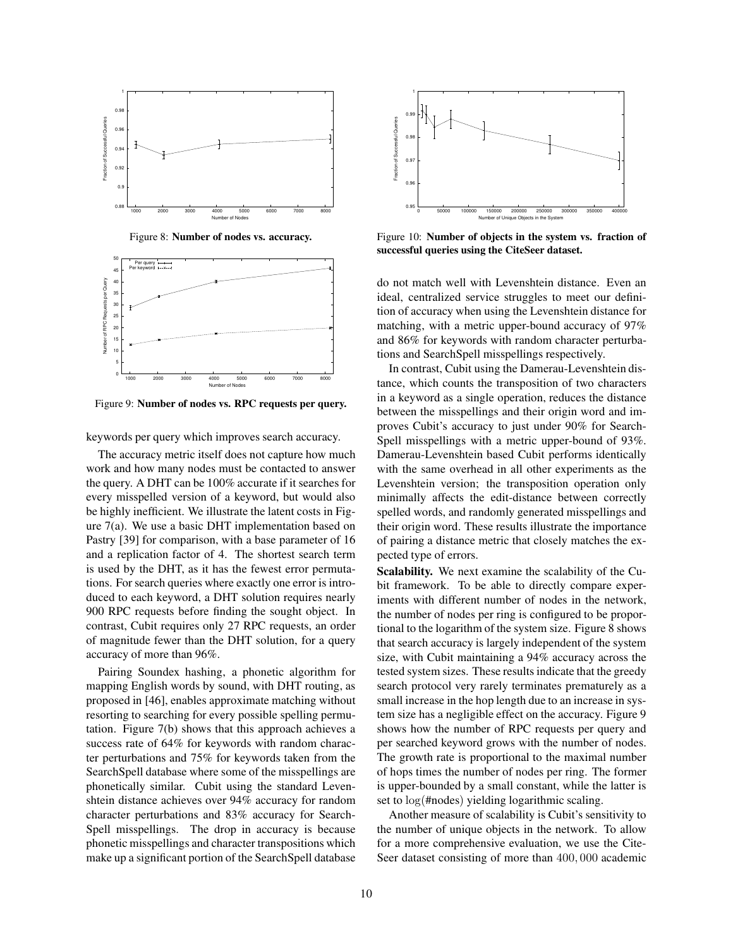

Figure 8: **Number of nodes vs. accuracy.**



Figure 9: **Number of nodes vs. RPC requests per query.**

keywords per query which improves search accuracy.

The accuracy metric itself does not capture how much work and how many nodes must be contacted to answer the query. A DHT can be 100% accurate if it searches for every misspelled version of a keyword, but would also be highly inefficient. We illustrate the latent costs in Figure 7(a). We use a basic DHT implementation based on Pastry [39] for comparison, with a base parameter of 16 and a replication factor of 4. The shortest search term is used by the DHT, as it has the fewest error permutations. For search queries where exactly one error is introduced to each keyword, a DHT solution requires nearly 900 RPC requests before finding the sought object. In contrast, Cubit requires only 27 RPC requests, an order of magnitude fewer than the DHT solution, for a query accuracy of more than 96%.

Pairing Soundex hashing, a phonetic algorithm for mapping English words by sound, with DHT routing, as proposed in [46], enables approximate matching without resorting to searching for every possible spelling permutation. Figure 7(b) shows that this approach achieves a success rate of 64% for keywords with random character perturbations and 75% for keywords taken from the SearchSpell database where some of the misspellings are phonetically similar. Cubit using the standard Levenshtein distance achieves over 94% accuracy for random character perturbations and 83% accuracy for Search-Spell misspellings. The drop in accuracy is because phonetic misspellings and character transpositions which make up a significant portion of the SearchSpell database



Figure 10: **Number of objects in the system vs. fraction of successful queries using the CiteSeer dataset.**

do not match well with Levenshtein distance. Even an ideal, centralized service struggles to meet our definition of accuracy when using the Levenshtein distance for matching, with a metric upper-bound accuracy of 97% and 86% for keywords with random character perturbations and SearchSpell misspellings respectively.

In contrast, Cubit using the Damerau-Levenshtein distance, which counts the transposition of two characters in a keyword as a single operation, reduces the distance between the misspellings and their origin word and improves Cubit's accuracy to just under 90% for Search-Spell misspellings with a metric upper-bound of 93%. Damerau-Levenshtein based Cubit performs identically with the same overhead in all other experiments as the Levenshtein version; the transposition operation only minimally affects the edit-distance between correctly spelled words, and randomly generated misspellings and their origin word. These results illustrate the importance of pairing a distance metric that closely matches the expected type of errors.

**Scalability.** We next examine the scalability of the Cubit framework. To be able to directly compare experiments with different number of nodes in the network, the number of nodes per ring is configured to be proportional to the logarithm of the system size. Figure 8 shows that search accuracy is largely independent of the system size, with Cubit maintaining a 94% accuracy across the tested system sizes. These results indicate that the greedy search protocol very rarely terminates prematurely as a small increase in the hop length due to an increase in system size has a negligible effect on the accuracy. Figure 9 shows how the number of RPC requests per query and per searched keyword grows with the number of nodes. The growth rate is proportional to the maximal number of hops times the number of nodes per ring. The former is upper-bounded by a small constant, while the latter is set to log(#nodes) yielding logarithmic scaling.

Another measure of scalability is Cubit's sensitivity to the number of unique objects in the network. To allow for a more comprehensive evaluation, we use the Cite-Seer dataset consisting of more than 400, 000 academic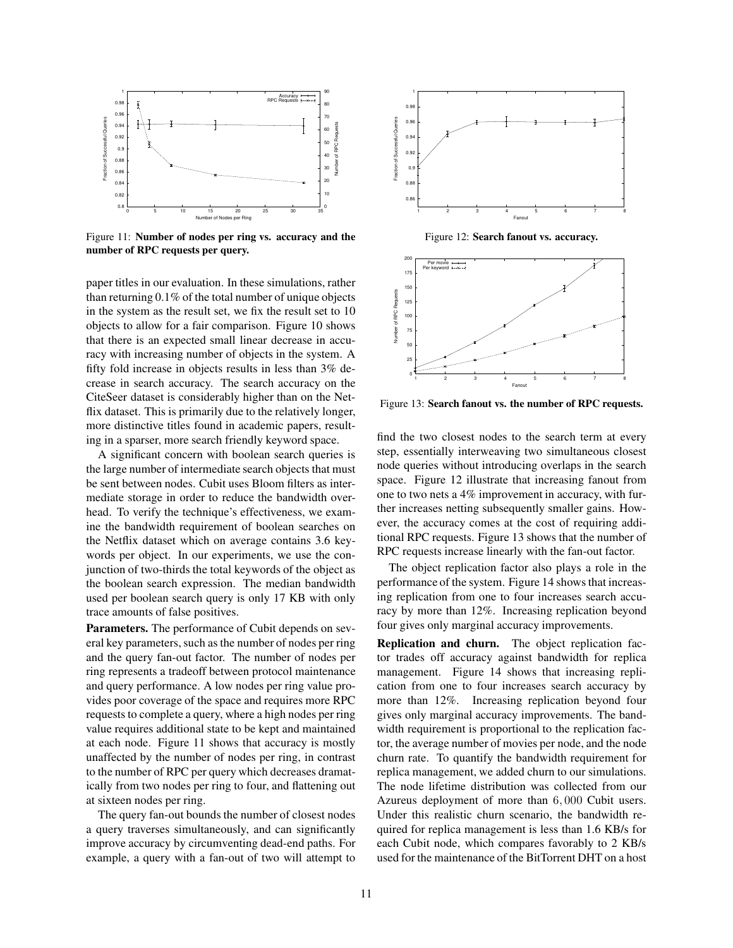

Figure 11: **Number of nodes per ring vs. accuracy and the number of RPC requests per query.**

paper titles in our evaluation. In these simulations, rather than returning 0.1% of the total number of unique objects in the system as the result set, we fix the result set to 10 objects to allow for a fair comparison. Figure 10 shows that there is an expected small linear decrease in accuracy with increasing number of objects in the system. A fifty fold increase in objects results in less than 3% decrease in search accuracy. The search accuracy on the CiteSeer dataset is considerably higher than on the Netflix dataset. This is primarily due to the relatively longer, more distinctive titles found in academic papers, resulting in a sparser, more search friendly keyword space.

A significant concern with boolean search queries is the large number of intermediate search objects that must be sent between nodes. Cubit uses Bloom filters as intermediate storage in order to reduce the bandwidth overhead. To verify the technique's effectiveness, we examine the bandwidth requirement of boolean searches on the Netflix dataset which on average contains 3.6 keywords per object. In our experiments, we use the conjunction of two-thirds the total keywords of the object as the boolean search expression. The median bandwidth used per boolean search query is only 17 KB with only trace amounts of false positives.

**Parameters.** The performance of Cubit depends on several key parameters, such as the number of nodes per ring and the query fan-out factor. The number of nodes per ring represents a tradeoff between protocol maintenance and query performance. A low nodes per ring value provides poor coverage of the space and requires more RPC requests to complete a query, where a high nodes per ring value requires additional state to be kept and maintained at each node. Figure 11 shows that accuracy is mostly unaffected by the number of nodes per ring, in contrast to the number of RPC per query which decreases dramatically from two nodes per ring to four, and flattening out at sixteen nodes per ring.

The query fan-out bounds the number of closest nodes a query traverses simultaneously, and can significantly improve accuracy by circumventing dead-end paths. For example, a query with a fan-out of two will attempt to



Figure 12: **Search fanout vs. accuracy.**



Figure 13: **Search fanout vs. the number of RPC requests.**

find the two closest nodes to the search term at every step, essentially interweaving two simultaneous closest node queries without introducing overlaps in the search space. Figure 12 illustrate that increasing fanout from one to two nets a 4% improvement in accuracy, with further increases netting subsequently smaller gains. However, the accuracy comes at the cost of requiring additional RPC requests. Figure 13 shows that the number of RPC requests increase linearly with the fan-out factor.

The object replication factor also plays a role in the performance of the system. Figure 14 shows that increasing replication from one to four increases search accuracy by more than 12%. Increasing replication beyond four gives only marginal accuracy improvements.

**Replication and churn.** The object replication factor trades off accuracy against bandwidth for replica management. Figure 14 shows that increasing replication from one to four increases search accuracy by more than 12%. Increasing replication beyond four gives only marginal accuracy improvements. The bandwidth requirement is proportional to the replication factor, the average number of movies per node, and the node churn rate. To quantify the bandwidth requirement for replica management, we added churn to our simulations. The node lifetime distribution was collected from our Azureus deployment of more than 6, 000 Cubit users. Under this realistic churn scenario, the bandwidth required for replica management is less than 1.6 KB/s for each Cubit node, which compares favorably to 2 KB/s used for the maintenance of the BitTorrent DHT on a host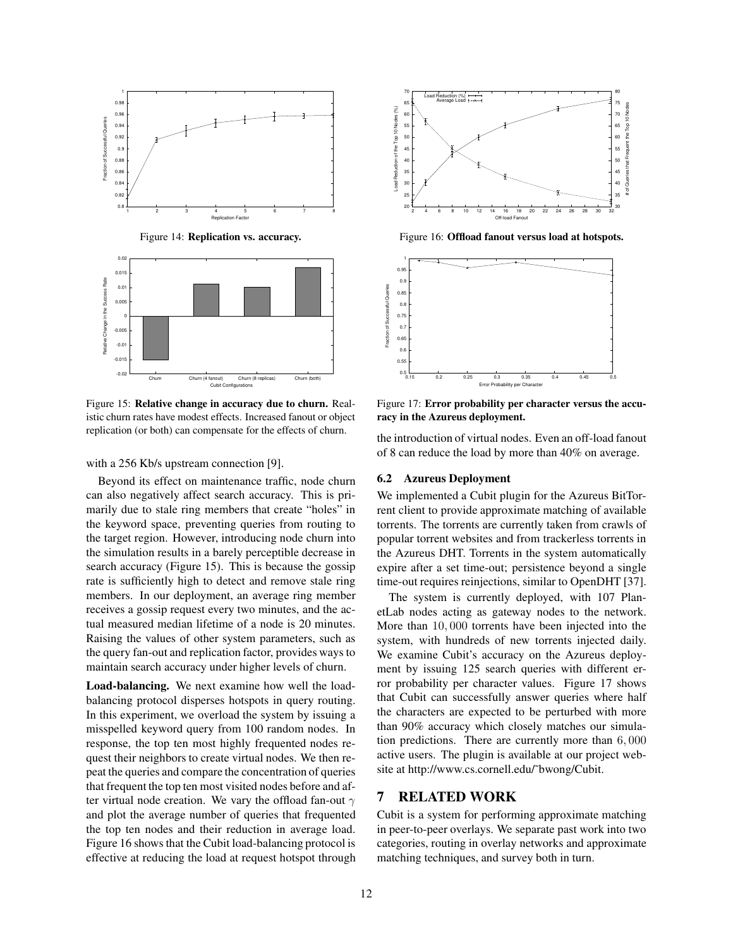

Figure 14: **Replication vs. accuracy.**



Figure 15: **Relative change in accuracy due to churn.** Realistic churn rates have modest effects. Increased fanout or object replication (or both) can compensate for the effects of churn.

with a 256 Kb/s upstream connection [9].

Beyond its effect on maintenance traffic, node churn can also negatively affect search accuracy. This is primarily due to stale ring members that create "holes" in the keyword space, preventing queries from routing to the target region. However, introducing node churn into the simulation results in a barely perceptible decrease in search accuracy (Figure 15). This is because the gossip rate is sufficiently high to detect and remove stale ring members. In our deployment, an average ring member receives a gossip request every two minutes, and the actual measured median lifetime of a node is 20 minutes. Raising the values of other system parameters, such as the query fan-out and replication factor, provides ways to maintain search accuracy under higher levels of churn.

**Load-balancing.** We next examine how well the loadbalancing protocol disperses hotspots in query routing. In this experiment, we overload the system by issuing a misspelled keyword query from 100 random nodes. In response, the top ten most highly frequented nodes request their neighbors to create virtual nodes. We then repeat the queries and compare the concentration of queries that frequent the top ten most visited nodes before and after virtual node creation. We vary the offload fan-out  $\gamma$ and plot the average number of queries that frequented the top ten nodes and their reduction in average load. Figure 16 shows that the Cubit load-balancing protocol is effective at reducing the load at request hotspot through



Figure 16: **Offload fanout versus load at hotspots.**



Figure 17: **Error probability per character versus the accuracy in the Azureus deployment.**

the introduction of virtual nodes. Even an off-load fanout of 8 can reduce the load by more than 40% on average.

#### **6.2 Azureus Deployment**

We implemented a Cubit plugin for the Azureus BitTorrent client to provide approximate matching of available torrents. The torrents are currently taken from crawls of popular torrent websites and from trackerless torrents in the Azureus DHT. Torrents in the system automatically expire after a set time-out; persistence beyond a single time-out requires reinjections, similar to OpenDHT [37].

The system is currently deployed, with 107 PlanetLab nodes acting as gateway nodes to the network. More than 10, 000 torrents have been injected into the system, with hundreds of new torrents injected daily. We examine Cubit's accuracy on the Azureus deployment by issuing 125 search queries with different error probability per character values. Figure 17 shows that Cubit can successfully answer queries where half the characters are expected to be perturbed with more than 90% accuracy which closely matches our simulation predictions. There are currently more than 6, 000 active users. The plugin is available at our project website at http://www.cs.cornell.edu/˜bwong/Cubit.

## **7 RELATED WORK**

Cubit is a system for performing approximate matching in peer-to-peer overlays. We separate past work into two categories, routing in overlay networks and approximate matching techniques, and survey both in turn.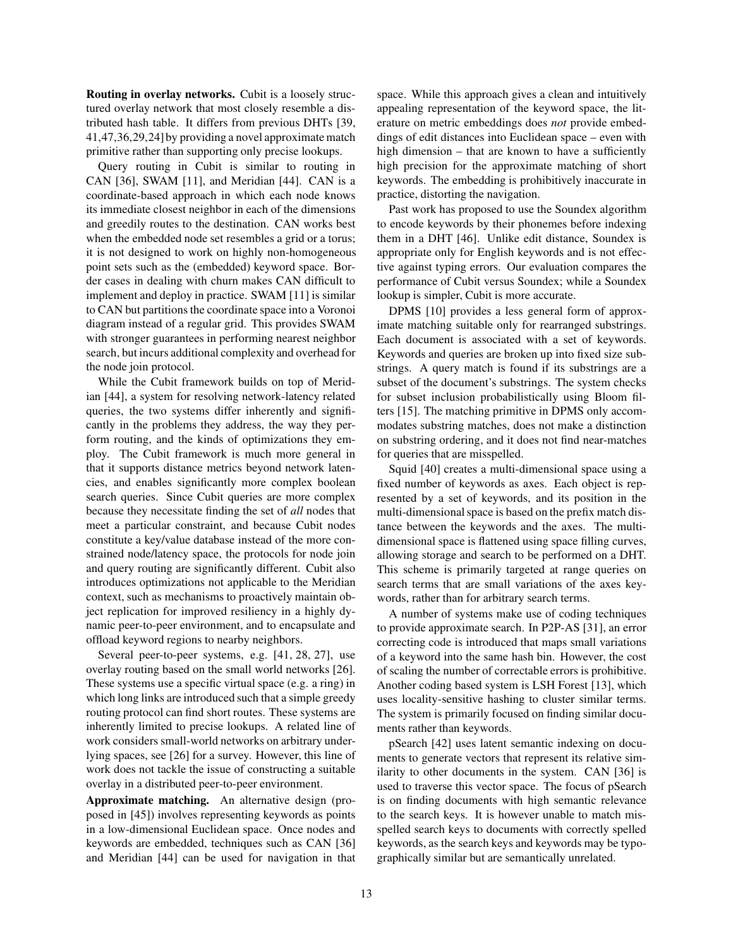**Routing in overlay networks.** Cubit is a loosely structured overlay network that most closely resemble a distributed hash table. It differs from previous DHTs [39, 41,47,36,29,24] by providing a novel approximate match primitive rather than supporting only precise lookups.

Query routing in Cubit is similar to routing in CAN [36], SWAM [11], and Meridian [44]. CAN is a coordinate-based approach in which each node knows its immediate closest neighbor in each of the dimensions and greedily routes to the destination. CAN works best when the embedded node set resembles a grid or a torus; it is not designed to work on highly non-homogeneous point sets such as the (embedded) keyword space. Border cases in dealing with churn makes CAN difficult to implement and deploy in practice. SWAM [11] is similar to CAN but partitions the coordinate space into a Voronoi diagram instead of a regular grid. This provides SWAM with stronger guarantees in performing nearest neighbor search, but incurs additional complexity and overhead for the node join protocol.

While the Cubit framework builds on top of Meridian [44], a system for resolving network-latency related queries, the two systems differ inherently and significantly in the problems they address, the way they perform routing, and the kinds of optimizations they employ. The Cubit framework is much more general in that it supports distance metrics beyond network latencies, and enables significantly more complex boolean search queries. Since Cubit queries are more complex because they necessitate finding the set of *all* nodes that meet a particular constraint, and because Cubit nodes constitute a key/value database instead of the more constrained node/latency space, the protocols for node join and query routing are significantly different. Cubit also introduces optimizations not applicable to the Meridian context, such as mechanisms to proactively maintain object replication for improved resiliency in a highly dynamic peer-to-peer environment, and to encapsulate and offload keyword regions to nearby neighbors.

Several peer-to-peer systems, e.g. [41, 28, 27], use overlay routing based on the small world networks [26]. These systems use a specific virtual space (e.g. a ring) in which long links are introduced such that a simple greedy routing protocol can find short routes. These systems are inherently limited to precise lookups. A related line of work considers small-world networks on arbitrary underlying spaces, see [26] for a survey. However, this line of work does not tackle the issue of constructing a suitable overlay in a distributed peer-to-peer environment.

**Approximate matching.** An alternative design (proposed in [45]) involves representing keywords as points in a low-dimensional Euclidean space. Once nodes and keywords are embedded, techniques such as CAN [36] and Meridian [44] can be used for navigation in that space. While this approach gives a clean and intuitively appealing representation of the keyword space, the literature on metric embeddings does *not* provide embeddings of edit distances into Euclidean space – even with high dimension – that are known to have a sufficiently high precision for the approximate matching of short keywords. The embedding is prohibitively inaccurate in practice, distorting the navigation.

Past work has proposed to use the Soundex algorithm to encode keywords by their phonemes before indexing them in a DHT [46]. Unlike edit distance, Soundex is appropriate only for English keywords and is not effective against typing errors. Our evaluation compares the performance of Cubit versus Soundex; while a Soundex lookup is simpler, Cubit is more accurate.

DPMS [10] provides a less general form of approximate matching suitable only for rearranged substrings. Each document is associated with a set of keywords. Keywords and queries are broken up into fixed size substrings. A query match is found if its substrings are a subset of the document's substrings. The system checks for subset inclusion probabilistically using Bloom filters [15]. The matching primitive in DPMS only accommodates substring matches, does not make a distinction on substring ordering, and it does not find near-matches for queries that are misspelled.

Squid [40] creates a multi-dimensional space using a fixed number of keywords as axes. Each object is represented by a set of keywords, and its position in the multi-dimensional space is based on the prefix match distance between the keywords and the axes. The multidimensional space is flattened using space filling curves, allowing storage and search to be performed on a DHT. This scheme is primarily targeted at range queries on search terms that are small variations of the axes keywords, rather than for arbitrary search terms.

A number of systems make use of coding techniques to provide approximate search. In P2P-AS [31], an error correcting code is introduced that maps small variations of a keyword into the same hash bin. However, the cost of scaling the number of correctable errors is prohibitive. Another coding based system is LSH Forest [13], which uses locality-sensitive hashing to cluster similar terms. The system is primarily focused on finding similar documents rather than keywords.

pSearch [42] uses latent semantic indexing on documents to generate vectors that represent its relative similarity to other documents in the system. CAN [36] is used to traverse this vector space. The focus of pSearch is on finding documents with high semantic relevance to the search keys. It is however unable to match misspelled search keys to documents with correctly spelled keywords, as the search keys and keywords may be typographically similar but are semantically unrelated.